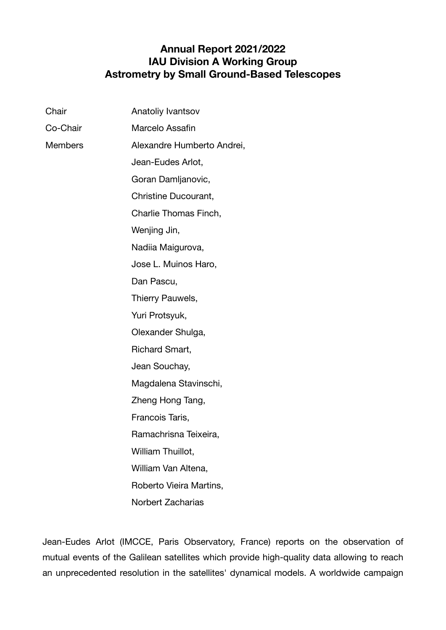## **Annual Report 2021/2022 IAU Division A Working Group Astrometry by Small Ground-Based Telescopes**

| Chair    | Anatoliy Ivantsov          |
|----------|----------------------------|
| Co-Chair | Marcelo Assafin            |
| Members  | Alexandre Humberto Andrei, |
|          | Jean-Eudes Arlot,          |
|          | Goran Damljanovic,         |
|          | Christine Ducourant,       |
|          | Charlie Thomas Finch,      |
|          | Wenjing Jin,               |
|          | Nadiia Maigurova,          |
|          | Jose L. Muinos Haro,       |
|          | Dan Pascu,                 |
|          | Thierry Pauwels,           |
|          | Yuri Protsyuk,             |
|          | Olexander Shulga,          |
|          | Richard Smart,             |
|          | Jean Souchay,              |
|          | Magdalena Stavinschi,      |
|          | Zheng Hong Tang,           |
|          | Francois Taris,            |
|          | Ramachrisna Teixeira,      |
|          | William Thuillot,          |
|          | William Van Altena,        |
|          | Roberto Vieira Martins,    |
|          | <b>Norbert Zacharias</b>   |

Jean-Eudes Arlot (IMCCE, Paris Observatory, France) reports on the observation of mutual events of the Galilean satellites which provide high-quality data allowing to reach an unprecedented resolution in the satellites' dynamical models. A worldwide campaign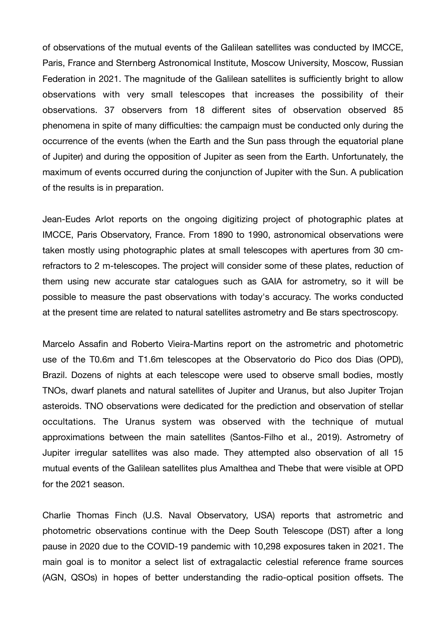of observations of the mutual events of the Galilean satellites was conducted by IMCCE, Paris, France and Sternberg Astronomical Institute, Moscow University, Moscow, Russian Federation in 2021. The magnitude of the Galilean satellites is sufficiently bright to allow observations with very small telescopes that increases the possibility of their observations. 37 observers from 18 different sites of observation observed 85 phenomena in spite of many difficulties: the campaign must be conducted only during the occurrence of the events (when the Earth and the Sun pass through the equatorial plane of Jupiter) and during the opposition of Jupiter as seen from the Earth. Unfortunately, the maximum of events occurred during the conjunction of Jupiter with the Sun. A publication of the results is in preparation.

Jean-Eudes Arlot reports on the ongoing digitizing project of photographic plates at IMCCE, Paris Observatory, France. From 1890 to 1990, astronomical observations were taken mostly using photographic plates at small telescopes with apertures from 30 cmrefractors to 2 m-telescopes. The project will consider some of these plates, reduction of them using new accurate star catalogues such as GAIA for astrometry, so it will be possible to measure the past observations with today's accuracy. The works conducted at the present time are related to natural satellites astrometry and Be stars spectroscopy.

Marcelo Assafin and Roberto Vieira-Martins report on the astrometric and photometric use of the T0.6m and T1.6m telescopes at the Observatorio do Pico dos Dias (OPD), Brazil. Dozens of nights at each telescope were used to observe small bodies, mostly TNOs, dwarf planets and natural satellites of Jupiter and Uranus, but also Jupiter Trojan asteroids. TNO observations were dedicated for the prediction and observation of stellar occultations. The Uranus system was observed with the technique of mutual approximations between the main satellites (Santos-Filho et al., 2019). Astrometry of Jupiter irregular satellites was also made. They attempted also observation of all 15 mutual events of the Galilean satellites plus Amalthea and Thebe that were visible at OPD for the 2021 season.

Charlie Thomas Finch (U.S. Naval Observatory, USA) reports that astrometric and photometric observations continue with the Deep South Telescope (DST) after a long pause in 2020 due to the COVID-19 pandemic with 10,298 exposures taken in 2021. The main goal is to monitor a select list of extragalactic celestial reference frame sources (AGN, QSOs) in hopes of better understanding the radio-optical position offsets. The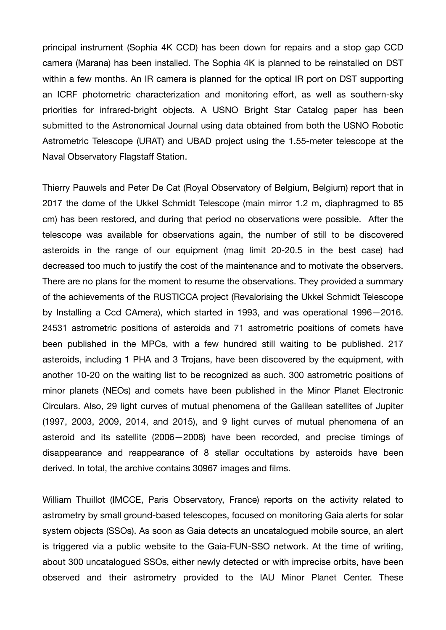principal instrument (Sophia 4K CCD) has been down for repairs and a stop gap CCD camera (Marana) has been installed. The Sophia 4K is planned to be reinstalled on DST within a few months. An IR camera is planned for the optical IR port on DST supporting an ICRF photometric characterization and monitoring effort, as well as southern-sky priorities for infrared-bright objects. A USNO Bright Star Catalog paper has been submitted to the Astronomical Journal using data obtained from both the USNO Robotic Astrometric Telescope (URAT) and UBAD project using the 1.55-meter telescope at the Naval Observatory Flagstaff Station.

Thierry Pauwels and Peter De Cat (Royal Observatory of Belgium, Belgium) report that in 2017 the dome of the Ukkel Schmidt Telescope (main mirror 1.2 m, diaphragmed to 85 cm) has been restored, and during that period no observations were possible. After the telescope was available for observations again, the number of still to be discovered asteroids in the range of our equipment (mag limit 20-20.5 in the best case) had decreased too much to justify the cost of the maintenance and to motivate the observers. There are no plans for the moment to resume the observations. They provided a summary of the achievements of the RUSTICCA project (Revalorising the Ukkel Schmidt Telescope by Installing a Ccd CAmera), which started in 1993, and was operational 1996—2016. 24531 astrometric positions of asteroids and 71 astrometric positions of comets have been published in the MPCs, with a few hundred still waiting to be published. 217 asteroids, including 1 PHA and 3 Trojans, have been discovered by the equipment, with another 10-20 on the waiting list to be recognized as such. 300 astrometric positions of minor planets (NEOs) and comets have been published in the Minor Planet Electronic Circulars. Also, 29 light curves of mutual phenomena of the Galilean satellites of Jupiter (1997, 2003, 2009, 2014, and 2015), and 9 light curves of mutual phenomena of an asteroid and its satellite (2006—2008) have been recorded, and precise timings of disappearance and reappearance of 8 stellar occultations by asteroids have been derived. In total, the archive contains 30967 images and films.

William Thuillot (IMCCE, Paris Observatory, France) reports on the activity related to astrometry by small ground-based telescopes, focused on monitoring Gaia alerts for solar system objects (SSOs). As soon as Gaia detects an uncatalogued mobile source, an alert is triggered via a public website to the Gaia-FUN-SSO network. At the time of writing, about 300 uncatalogued SSOs, either newly detected or with imprecise orbits, have been observed and their astrometry provided to the IAU Minor Planet Center. These